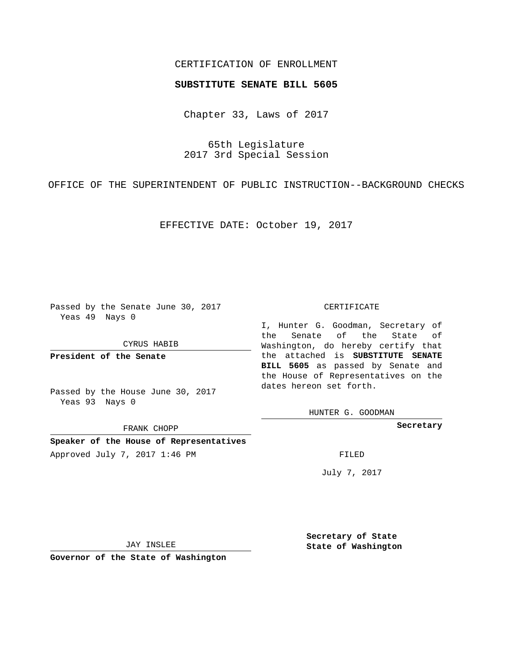## CERTIFICATION OF ENROLLMENT

## **SUBSTITUTE SENATE BILL 5605**

Chapter 33, Laws of 2017

65th Legislature 2017 3rd Special Session

OFFICE OF THE SUPERINTENDENT OF PUBLIC INSTRUCTION--BACKGROUND CHECKS

EFFECTIVE DATE: October 19, 2017

Passed by the Senate June 30, 2017 Yeas 49 Nays 0

CYRUS HABIB

**President of the Senate**

Passed by the House June 30, 2017 Yeas 93 Nays 0

FRANK CHOPP

**Speaker of the House of Representatives** Approved July 7, 2017 1:46 PM FILED

## CERTIFICATE

I, Hunter G. Goodman, Secretary of the Senate of the State of Washington, do hereby certify that the attached is **SUBSTITUTE SENATE BILL 5605** as passed by Senate and the House of Representatives on the dates hereon set forth.

HUNTER G. GOODMAN

**Secretary**

July 7, 2017

JAY INSLEE

**Governor of the State of Washington**

**Secretary of State State of Washington**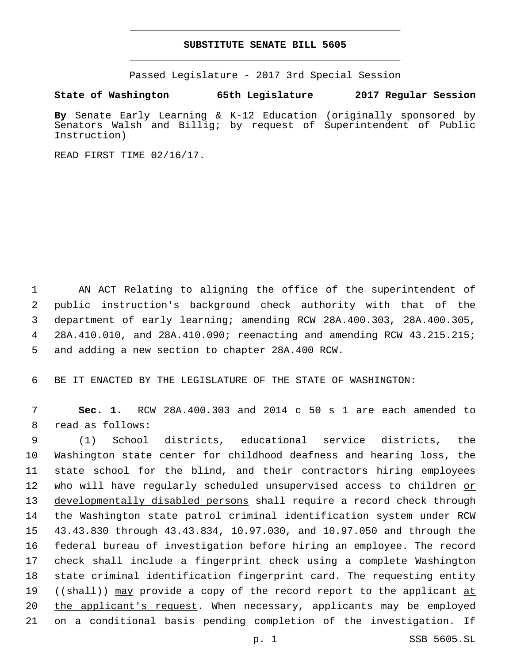## **SUBSTITUTE SENATE BILL 5605**

Passed Legislature - 2017 3rd Special Session

**State of Washington 65th Legislature 2017 Regular Session**

**By** Senate Early Learning & K-12 Education (originally sponsored by Senators Walsh and Billig; by request of Superintendent of Public Instruction)

READ FIRST TIME 02/16/17.

 AN ACT Relating to aligning the office of the superintendent of public instruction's background check authority with that of the department of early learning; amending RCW 28A.400.303, 28A.400.305, 28A.410.010, and 28A.410.090; reenacting and amending RCW 43.215.215; 5 and adding a new section to chapter 28A.400 RCW.

6 BE IT ENACTED BY THE LEGISLATURE OF THE STATE OF WASHINGTON:

7 **Sec. 1.** RCW 28A.400.303 and 2014 c 50 s 1 are each amended to 8 read as follows:

 (1) School districts, educational service districts, the Washington state center for childhood deafness and hearing loss, the state school for the blind, and their contractors hiring employees 12 who will have regularly scheduled unsupervised access to children <u>or</u> 13 developmentally disabled persons shall require a record check through the Washington state patrol criminal identification system under RCW 43.43.830 through 43.43.834, 10.97.030, and 10.97.050 and through the federal bureau of investigation before hiring an employee. The record check shall include a fingerprint check using a complete Washington state criminal identification fingerprint card. The requesting entity 19 ((shall)) may provide a copy of the record report to the applicant at 20 the applicant's request. When necessary, applicants may be employed on a conditional basis pending completion of the investigation. If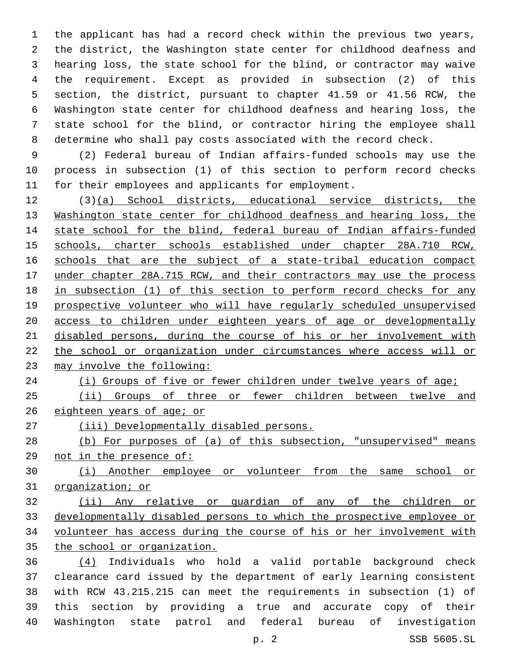the applicant has had a record check within the previous two years, the district, the Washington state center for childhood deafness and hearing loss, the state school for the blind, or contractor may waive the requirement. Except as provided in subsection (2) of this section, the district, pursuant to chapter 41.59 or 41.56 RCW, the Washington state center for childhood deafness and hearing loss, the state school for the blind, or contractor hiring the employee shall determine who shall pay costs associated with the record check.

 (2) Federal bureau of Indian affairs-funded schools may use the process in subsection (1) of this section to perform record checks for their employees and applicants for employment.

 (3)(a) School districts, educational service districts, the Washington state center for childhood deafness and hearing loss, the state school for the blind, federal bureau of Indian affairs-funded schools, charter schools established under chapter 28A.710 RCW, schools that are the subject of a state-tribal education compact under chapter 28A.715 RCW, and their contractors may use the process in subsection (1) of this section to perform record checks for any prospective volunteer who will have regularly scheduled unsupervised access to children under eighteen years of age or developmentally disabled persons, during the course of his or her involvement with the school or organization under circumstances where access will or may involve the following:

24 (i) Groups of five or fewer children under twelve years of age;

 (ii) Groups of three or fewer children between twelve and eighteen years of age; or

- (iii) Developmentally disabled persons.
- (b) For purposes of (a) of this subsection, "unsupervised" means not in the presence of:

 (i) Another employee or volunteer from the same school or organization; or

 (ii) Any relative or guardian of any of the children or developmentally disabled persons to which the prospective employee or volunteer has access during the course of his or her involvement with the school or organization.

 (4) Individuals who hold a valid portable background check clearance card issued by the department of early learning consistent with RCW 43.215.215 can meet the requirements in subsection (1) of this section by providing a true and accurate copy of their Washington state patrol and federal bureau of investigation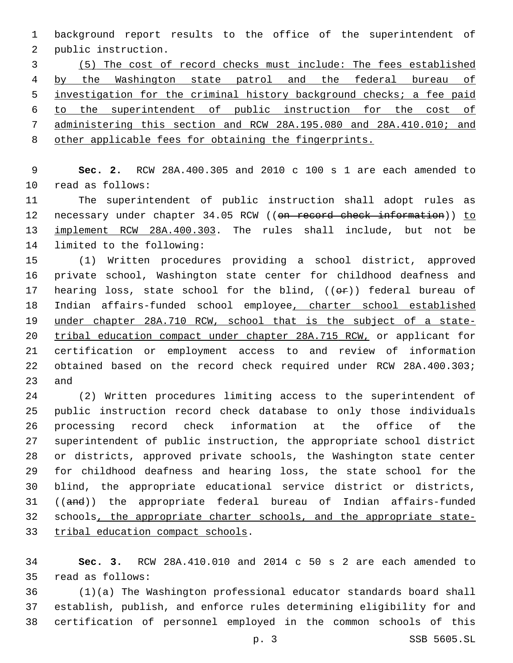background report results to the office of the superintendent of 2 public instruction.

 (5) The cost of record checks must include: The fees established by the Washington state patrol and the federal bureau of investigation for the criminal history background checks; a fee paid to the superintendent of public instruction for the cost of administering this section and RCW 28A.195.080 and 28A.410.010; and other applicable fees for obtaining the fingerprints.

 **Sec. 2.** RCW 28A.400.305 and 2010 c 100 s 1 are each amended to 10 read as follows:

 The superintendent of public instruction shall adopt rules as 12 necessary under chapter 34.05 RCW ((on record check information)) to 13 implement RCW 28A.400.303. The rules shall include, but not be 14 limited to the following:

 (1) Written procedures providing a school district, approved private school, Washington state center for childhood deafness and 17 hearing loss, state school for the blind,  $((\theta \cdot \mathbf{r}))$  federal bureau of Indian affairs-funded school employee, charter school established under chapter 28A.710 RCW, school that is the subject of a state- tribal education compact under chapter 28A.715 RCW, or applicant for certification or employment access to and review of information 22 obtained based on the record check required under RCW 28A.400.303; 23 and

 (2) Written procedures limiting access to the superintendent of public instruction record check database to only those individuals processing record check information at the office of the superintendent of public instruction, the appropriate school district or districts, approved private schools, the Washington state center for childhood deafness and hearing loss, the state school for the blind, the appropriate educational service district or districts, ((and)) the appropriate federal bureau of Indian affairs-funded 32 schools, the appropriate charter schools, and the appropriate state-33 tribal education compact schools.

 **Sec. 3.** RCW 28A.410.010 and 2014 c 50 s 2 are each amended to read as follows:35

 (1)(a) The Washington professional educator standards board shall establish, publish, and enforce rules determining eligibility for and certification of personnel employed in the common schools of this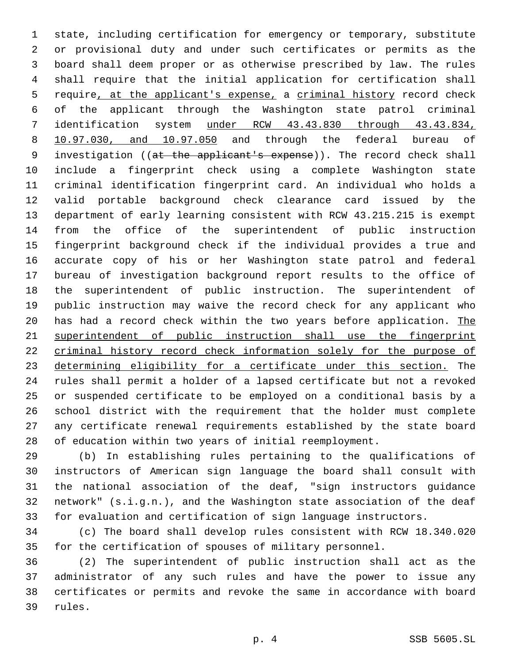state, including certification for emergency or temporary, substitute or provisional duty and under such certificates or permits as the board shall deem proper or as otherwise prescribed by law. The rules shall require that the initial application for certification shall require, at the applicant's expense, a criminal history record check of the applicant through the Washington state patrol criminal identification system under RCW 43.43.830 through 43.43.834, 8 10.97.030, and 10.97.050 and through the federal bureau of 9 investigation ((at the applicant's expense)). The record check shall include a fingerprint check using a complete Washington state criminal identification fingerprint card. An individual who holds a valid portable background check clearance card issued by the department of early learning consistent with RCW 43.215.215 is exempt from the office of the superintendent of public instruction fingerprint background check if the individual provides a true and accurate copy of his or her Washington state patrol and federal bureau of investigation background report results to the office of the superintendent of public instruction. The superintendent of public instruction may waive the record check for any applicant who 20 has had a record check within the two years before application. The superintendent of public instruction shall use the fingerprint 22 criminal history record check information solely for the purpose of determining eligibility for a certificate under this section. The rules shall permit a holder of a lapsed certificate but not a revoked or suspended certificate to be employed on a conditional basis by a school district with the requirement that the holder must complete any certificate renewal requirements established by the state board of education within two years of initial reemployment.

 (b) In establishing rules pertaining to the qualifications of instructors of American sign language the board shall consult with the national association of the deaf, "sign instructors guidance network" (s.i.g.n.), and the Washington state association of the deaf for evaluation and certification of sign language instructors.

 (c) The board shall develop rules consistent with RCW 18.340.020 for the certification of spouses of military personnel.

 (2) The superintendent of public instruction shall act as the administrator of any such rules and have the power to issue any certificates or permits and revoke the same in accordance with board 39 rules.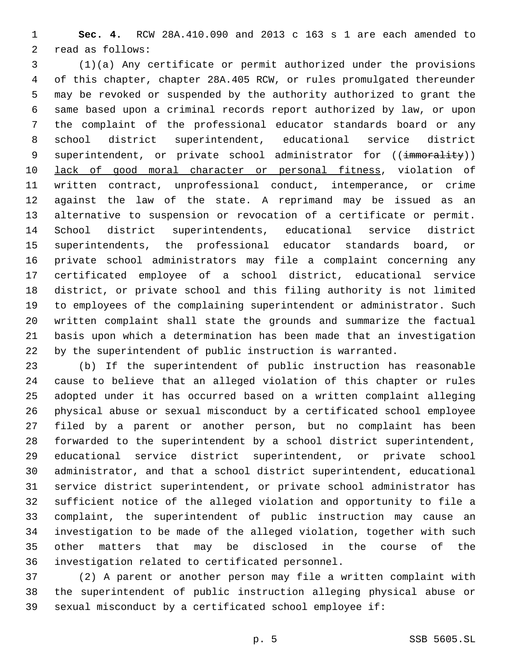**Sec. 4.** RCW 28A.410.090 and 2013 c 163 s 1 are each amended to 2 read as follows:

 (1)(a) Any certificate or permit authorized under the provisions of this chapter, chapter 28A.405 RCW, or rules promulgated thereunder may be revoked or suspended by the authority authorized to grant the same based upon a criminal records report authorized by law, or upon the complaint of the professional educator standards board or any school district superintendent, educational service district 9 superintendent, or private school administrator for ((immorality)) lack of good moral character or personal fitness, violation of written contract, unprofessional conduct, intemperance, or crime against the law of the state. A reprimand may be issued as an alternative to suspension or revocation of a certificate or permit. School district superintendents, educational service district superintendents, the professional educator standards board, or private school administrators may file a complaint concerning any certificated employee of a school district, educational service district, or private school and this filing authority is not limited to employees of the complaining superintendent or administrator. Such written complaint shall state the grounds and summarize the factual basis upon which a determination has been made that an investigation by the superintendent of public instruction is warranted.

 (b) If the superintendent of public instruction has reasonable cause to believe that an alleged violation of this chapter or rules adopted under it has occurred based on a written complaint alleging physical abuse or sexual misconduct by a certificated school employee filed by a parent or another person, but no complaint has been forwarded to the superintendent by a school district superintendent, educational service district superintendent, or private school administrator, and that a school district superintendent, educational service district superintendent, or private school administrator has sufficient notice of the alleged violation and opportunity to file a complaint, the superintendent of public instruction may cause an investigation to be made of the alleged violation, together with such other matters that may be disclosed in the course of the 36 investigation related to certificated personnel.

 (2) A parent or another person may file a written complaint with the superintendent of public instruction alleging physical abuse or sexual misconduct by a certificated school employee if: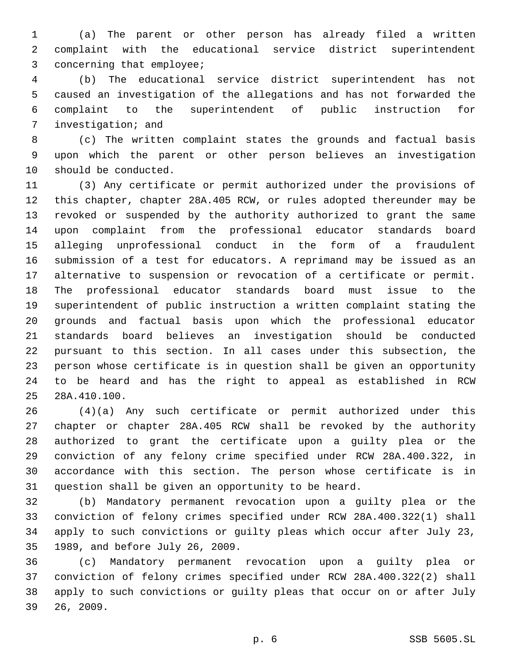(a) The parent or other person has already filed a written complaint with the educational service district superintendent 3 concerning that employee;

 (b) The educational service district superintendent has not caused an investigation of the allegations and has not forwarded the complaint to the superintendent of public instruction for 7 investigation; and

 (c) The written complaint states the grounds and factual basis upon which the parent or other person believes an investigation 10 should be conducted.

 (3) Any certificate or permit authorized under the provisions of this chapter, chapter 28A.405 RCW, or rules adopted thereunder may be revoked or suspended by the authority authorized to grant the same upon complaint from the professional educator standards board alleging unprofessional conduct in the form of a fraudulent submission of a test for educators. A reprimand may be issued as an alternative to suspension or revocation of a certificate or permit. The professional educator standards board must issue to the superintendent of public instruction a written complaint stating the grounds and factual basis upon which the professional educator standards board believes an investigation should be conducted pursuant to this section. In all cases under this subsection, the person whose certificate is in question shall be given an opportunity to be heard and has the right to appeal as established in RCW 28A.410.100.25

 (4)(a) Any such certificate or permit authorized under this chapter or chapter 28A.405 RCW shall be revoked by the authority authorized to grant the certificate upon a guilty plea or the conviction of any felony crime specified under RCW 28A.400.322, in accordance with this section. The person whose certificate is in question shall be given an opportunity to be heard.

 (b) Mandatory permanent revocation upon a guilty plea or the conviction of felony crimes specified under RCW 28A.400.322(1) shall apply to such convictions or guilty pleas which occur after July 23, 35 1989, and before July 26, 2009.

 (c) Mandatory permanent revocation upon a guilty plea or conviction of felony crimes specified under RCW 28A.400.322(2) shall apply to such convictions or guilty pleas that occur on or after July 39 26, 2009.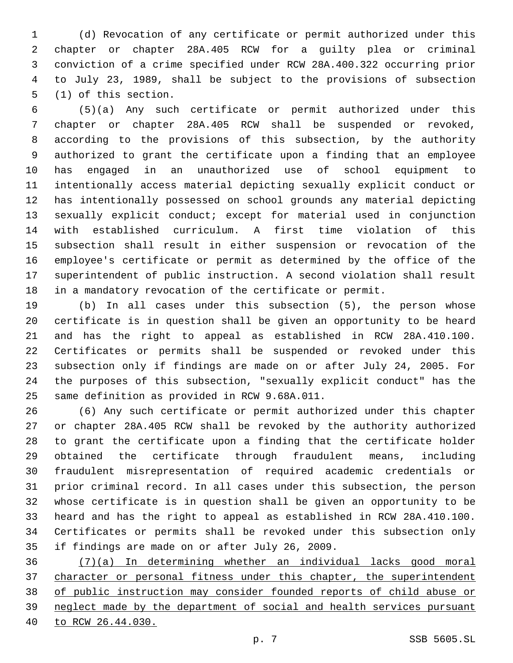(d) Revocation of any certificate or permit authorized under this chapter or chapter 28A.405 RCW for a guilty plea or criminal conviction of a crime specified under RCW 28A.400.322 occurring prior to July 23, 1989, shall be subject to the provisions of subsection 5 (1) of this section.

 (5)(a) Any such certificate or permit authorized under this chapter or chapter 28A.405 RCW shall be suspended or revoked, according to the provisions of this subsection, by the authority authorized to grant the certificate upon a finding that an employee has engaged in an unauthorized use of school equipment to intentionally access material depicting sexually explicit conduct or has intentionally possessed on school grounds any material depicting sexually explicit conduct; except for material used in conjunction with established curriculum. A first time violation of this subsection shall result in either suspension or revocation of the employee's certificate or permit as determined by the office of the superintendent of public instruction. A second violation shall result in a mandatory revocation of the certificate or permit.

 (b) In all cases under this subsection (5), the person whose certificate is in question shall be given an opportunity to be heard and has the right to appeal as established in RCW 28A.410.100. Certificates or permits shall be suspended or revoked under this subsection only if findings are made on or after July 24, 2005. For the purposes of this subsection, "sexually explicit conduct" has the 25 same definition as provided in RCW 9.68A.011.

 (6) Any such certificate or permit authorized under this chapter or chapter 28A.405 RCW shall be revoked by the authority authorized to grant the certificate upon a finding that the certificate holder obtained the certificate through fraudulent means, including fraudulent misrepresentation of required academic credentials or prior criminal record. In all cases under this subsection, the person whose certificate is in question shall be given an opportunity to be heard and has the right to appeal as established in RCW 28A.410.100. Certificates or permits shall be revoked under this subsection only 35 if findings are made on or after July 26, 2009.

 (7)(a) In determining whether an individual lacks good moral 37 character or personal fitness under this chapter, the superintendent of public instruction may consider founded reports of child abuse or neglect made by the department of social and health services pursuant to RCW 26.44.030.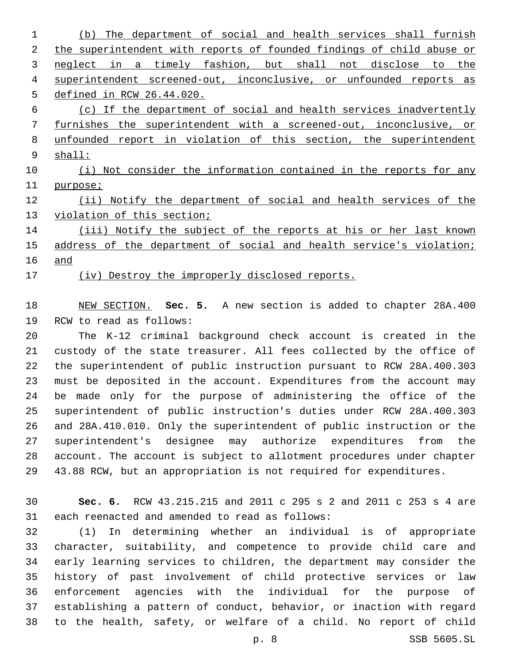(b) The department of social and health services shall furnish the superintendent with reports of founded findings of child abuse or neglect in a timely fashion, but shall not disclose to the superintendent screened-out, inconclusive, or unfounded reports as defined in RCW 26.44.020. (c) If the department of social and health services inadvertently furnishes the superintendent with a screened-out, inconclusive, or unfounded report in violation of this section, the superintendent shall: 10 (i) Not consider the information contained in the reports for any 11 purpose; (ii) Notify the department of social and health services of the 13 violation of this section; 14 (iii) Notify the subject of the reports at his or her last known address of the department of social and health service's violation; and

(iv) Destroy the improperly disclosed reports.

 NEW SECTION. **Sec. 5.** A new section is added to chapter 28A.400 19 RCW to read as follows:

 The K-12 criminal background check account is created in the custody of the state treasurer. All fees collected by the office of the superintendent of public instruction pursuant to RCW 28A.400.303 must be deposited in the account. Expenditures from the account may be made only for the purpose of administering the office of the superintendent of public instruction's duties under RCW 28A.400.303 and 28A.410.010. Only the superintendent of public instruction or the superintendent's designee may authorize expenditures from the account. The account is subject to allotment procedures under chapter 43.88 RCW, but an appropriation is not required for expenditures.

 **Sec. 6.** RCW 43.215.215 and 2011 c 295 s 2 and 2011 c 253 s 4 are 31 each reenacted and amended to read as follows:

 (1) In determining whether an individual is of appropriate character, suitability, and competence to provide child care and early learning services to children, the department may consider the history of past involvement of child protective services or law enforcement agencies with the individual for the purpose of establishing a pattern of conduct, behavior, or inaction with regard to the health, safety, or welfare of a child. No report of child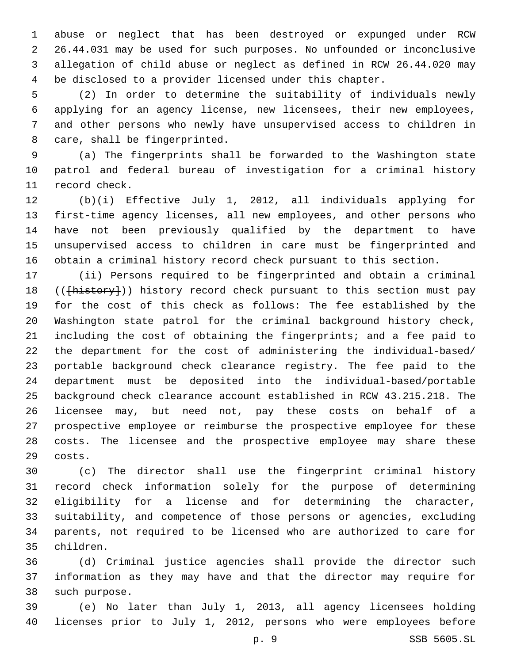abuse or neglect that has been destroyed or expunged under RCW 26.44.031 may be used for such purposes. No unfounded or inconclusive allegation of child abuse or neglect as defined in RCW 26.44.020 may be disclosed to a provider licensed under this chapter.

 (2) In order to determine the suitability of individuals newly applying for an agency license, new licensees, their new employees, and other persons who newly have unsupervised access to children in 8 care, shall be fingerprinted.

 (a) The fingerprints shall be forwarded to the Washington state patrol and federal bureau of investigation for a criminal history 11 record check.

 (b)(i) Effective July 1, 2012, all individuals applying for first-time agency licenses, all new employees, and other persons who have not been previously qualified by the department to have unsupervised access to children in care must be fingerprinted and obtain a criminal history record check pursuant to this section.

 (ii) Persons required to be fingerprinted and obtain a criminal 18 (({history})) history record check pursuant to this section must pay for the cost of this check as follows: The fee established by the Washington state patrol for the criminal background history check, including the cost of obtaining the fingerprints; and a fee paid to the department for the cost of administering the individual-based/ portable background check clearance registry. The fee paid to the department must be deposited into the individual-based/portable background check clearance account established in RCW 43.215.218. The licensee may, but need not, pay these costs on behalf of a prospective employee or reimburse the prospective employee for these costs. The licensee and the prospective employee may share these 29 costs.

 (c) The director shall use the fingerprint criminal history record check information solely for the purpose of determining eligibility for a license and for determining the character, suitability, and competence of those persons or agencies, excluding parents, not required to be licensed who are authorized to care for 35 children.

 (d) Criminal justice agencies shall provide the director such information as they may have and that the director may require for 38 such purpose.

 (e) No later than July 1, 2013, all agency licensees holding licenses prior to July 1, 2012, persons who were employees before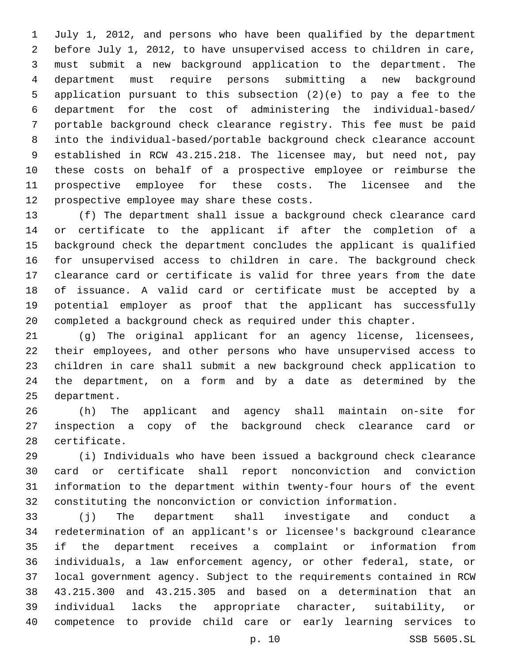July 1, 2012, and persons who have been qualified by the department before July 1, 2012, to have unsupervised access to children in care, must submit a new background application to the department. The department must require persons submitting a new background application pursuant to this subsection (2)(e) to pay a fee to the department for the cost of administering the individual-based/ portable background check clearance registry. This fee must be paid into the individual-based/portable background check clearance account established in RCW 43.215.218. The licensee may, but need not, pay these costs on behalf of a prospective employee or reimburse the prospective employee for these costs. The licensee and the 12 prospective employee may share these costs.

 (f) The department shall issue a background check clearance card or certificate to the applicant if after the completion of a background check the department concludes the applicant is qualified for unsupervised access to children in care. The background check clearance card or certificate is valid for three years from the date of issuance. A valid card or certificate must be accepted by a potential employer as proof that the applicant has successfully completed a background check as required under this chapter.

21 (g) The original applicant for an agency license, licensees, their employees, and other persons who have unsupervised access to children in care shall submit a new background check application to the department, on a form and by a date as determined by the 25 department.

 (h) The applicant and agency shall maintain on-site for inspection a copy of the background check clearance card or 28 certificate.

 (i) Individuals who have been issued a background check clearance card or certificate shall report nonconviction and conviction information to the department within twenty-four hours of the event constituting the nonconviction or conviction information.

 (j) The department shall investigate and conduct a redetermination of an applicant's or licensee's background clearance if the department receives a complaint or information from individuals, a law enforcement agency, or other federal, state, or local government agency. Subject to the requirements contained in RCW 43.215.300 and 43.215.305 and based on a determination that an individual lacks the appropriate character, suitability, or competence to provide child care or early learning services to